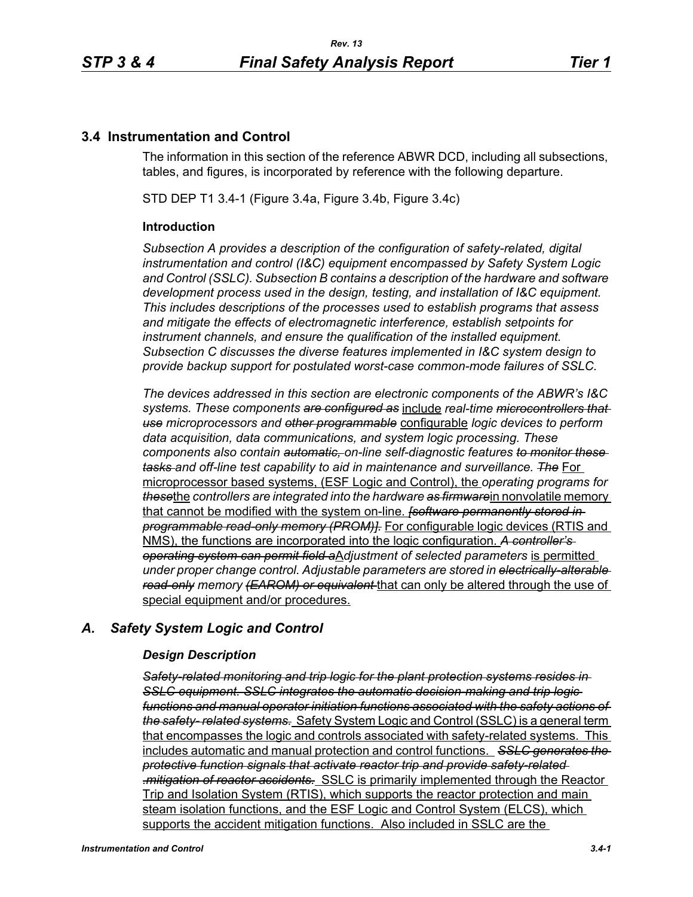# **3.4 Instrumentation and Control**

The information in this section of the reference ABWR DCD, including all subsections, tables, and figures, is incorporated by reference with the following departure.

STD DEP T1 3.4-1 (Figure 3.4a, Figure 3.4b, Figure 3.4c)

## **Introduction**

*Subsection A provides a description of the configuration of safety-related, digital instrumentation and control (I&C) equipment encompassed by Safety System Logic and Control (SSLC). Subsection B contains a description of the hardware and software development process used in the design, testing, and installation of I&C equipment. This includes descriptions of the processes used to establish programs that assess and mitigate the effects of electromagnetic interference, establish setpoints for instrument channels, and ensure the qualification of the installed equipment. Subsection C discusses the diverse features implemented in I&C system design to provide backup support for postulated worst-case common-mode failures of SSLC.*

*The devices addressed in this section are electronic components of the ABWR's I&C systems. These components are configured as* include *real-time microcontrollers that use microprocessors and other programmable* configurable *logic devices to perform data acquisition, data communications, and system logic processing. These components also contain automatic, on-line self-diagnostic features to monitor these tasks and off-line test capability to aid in maintenance and surveillance. The* For microprocessor based systems, (ESF Logic and Control), the *operating programs for these*the *controllers are integrated into the hardware as firmware*in nonvolatile memory that cannot be modified with the system on-line. *[software permanently stored in programmable read-only memory (PROM)].* For configurable logic devices (RTIS and NMS), the functions are incorporated into the logic configuration. *A controller's operating system can permit field a*A*djustment of selected parameters* is permitted *under proper change control. Adjustable parameters are stored in electrically-alterable read-only memory (EAROM) or equivalent* that can only be altered through the use of special equipment and/or procedures.

# *A. Safety System Logic and Control*

## *Design Description*

*Safety-related monitoring and trip logic for the plant protection systems resides in SSLC equipment. SSLC integrates the automatic decision-making and trip logic functions and manual operator initiation functions associated with the safety actions of the safety- related systems.* Safety System Logic and Control (SSLC) is a general term that encompasses the logic and controls associated with safety-related systems. This includes automatic and manual protection and control functions. *SSLC generates the protective function signals that activate reactor trip and provide safety-related .mitigation of reactor accidents.* SSLC is primarily implemented through the Reactor Trip and Isolation System (RTIS), which supports the reactor protection and main steam isolation functions, and the ESF Logic and Control System (ELCS), which supports the accident mitigation functions. Also included in SSLC are the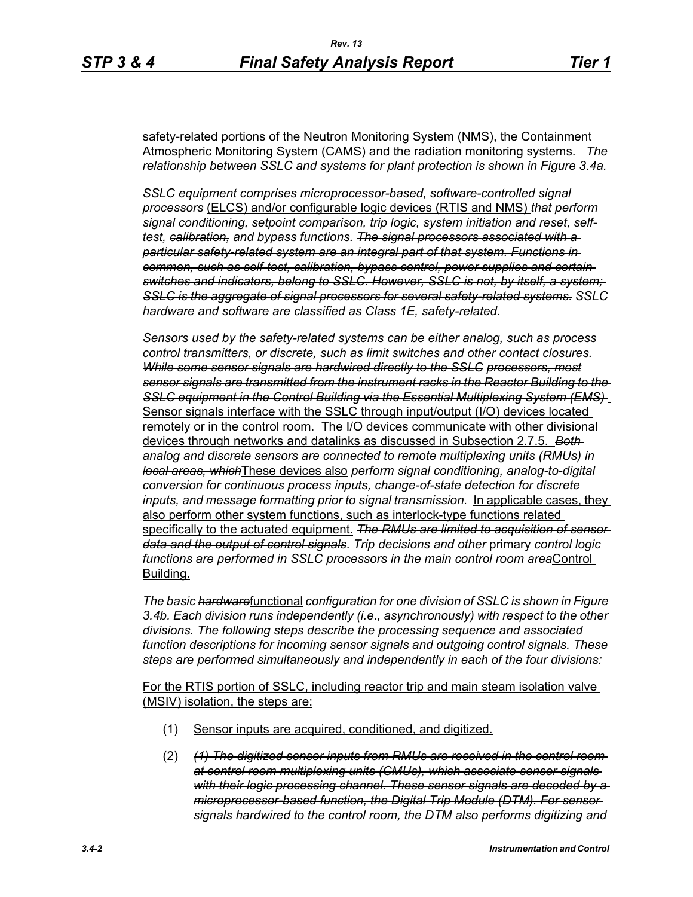safety-related portions of the Neutron Monitoring System (NMS), the Containment Atmospheric Monitoring System (CAMS) and the radiation monitoring systems. *The relationship between SSLC and systems for plant protection is shown in Figure 3.4a.*

*SSLC equipment comprises microprocessor-based, software-controlled signal processors* (ELCS) and/or configurable logic devices (RTIS and NMS) *that perform signal conditioning, setpoint comparison, trip logic, system initiation and reset, selftest, calibration, and bypass functions. The signal processors associated with a particular safety-related system are an integral part of that system. Functions in common, such as self-test, calibration, bypass control, power supplies and certain switches and indicators, belong to SSLC. However, SSLC is not, by itself, a system; SSLC is the aggregate of signal processors for several safety-related systems. SSLC hardware and software are classified as Class 1E, safety-related.*

*Sensors used by the safety-related systems can be either analog, such as process control transmitters, or discrete, such as limit switches and other contact closures. While some sensor signals are hardwired directly to the SSLC processors, most sensor signals are transmitted from the instrument racks in the Reactor Building to the SSLC equipment in the Control Building via the Essential Multiplexing System (EMS)*  Sensor signals interface with the SSLC through input/output (I/O) devices located remotely or in the control room. The I/O devices communicate with other divisional devices through networks and datalinks as discussed in Subsection 2.7.5. *Both analog and discrete sensors are connected to remote multiplexing units (RMUs) in local areas, which*These devices also *perform signal conditioning, analog-to-digital conversion for continuous process inputs, change-of-state detection for discrete inputs, and message formatting prior to signal transmission.* In applicable cases, they also perform other system functions, such as interlock-type functions related specifically to the actuated equipment. *The RMUs are limited to acquisition of sensor data and the output of control signals*. *Trip decisions and other* primary *control logic functions are performed in SSLC processors in the main control room area*Control Building.

*The basic hardware*functional *configuration for one division of SSLC is shown in Figure 3.4b. Each division runs independently (i.e., asynchronously) with respect to the other divisions. The following steps describe the processing sequence and associated function descriptions for incoming sensor signals and outgoing control signals. These steps are performed simultaneously and independently in each of the four divisions:*

For the RTIS portion of SSLC, including reactor trip and main steam isolation valve (MSIV) isolation, the steps are:

- (1) Sensor inputs are acquired, conditioned, and digitized.
- (2) *(1) The digitized sensor inputs from RMUs are received in the control room at control room multiplexing units (CMUs), which associate sensor signals with their logic processing channel. These sensor signals are decoded by a microprocessor-based function, the Digital Trip Module (DTM). For sensor signals hardwired to the control room, the DTM also performs digitizing and*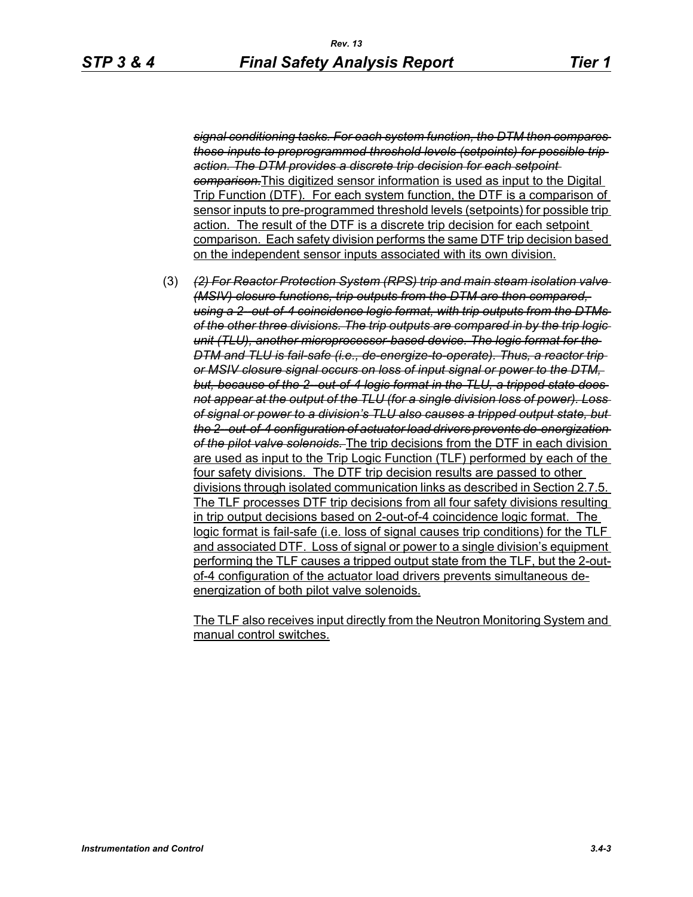*signal conditioning tasks. For each system function, the DTM then compares these inputs to preprogrammed threshold levels (setpoints) for possible trip action. The DTM provides a discrete trip decision for each setpoint comparison.*This digitized sensor information is used as input to the Digital Trip Function (DTF). For each system function, the DTF is a comparison of sensor inputs to pre-programmed threshold levels (setpoints) for possible trip action. The result of the DTF is a discrete trip decision for each setpoint comparison. Each safety division performs the same DTF trip decision based on the independent sensor inputs associated with its own division.

(3) *(2) For Reactor Protection System (RPS) trip and main steam isolation valve (MSIV) closure functions, trip outputs from the DTM are then compared, using a 2--out-of-4 coincidence logic format, with trip outputs from the DTMs of the other three divisions. The trip outputs are compared in by the trip logic unit (TLU), another microprocessor-based device. The logic format for the DTM and TLU is fail-safe (i.e., de-energize-to-operate). Thus, a reactor trip or MSIV closure signal occurs on loss of input signal or power to the DTM,*  but, because of the 2-out-of-4 logic format in the TLU, a tripped state does*not appear at the output of the TLU (for a single division loss of power). Loss of signal or power to a division's TLU also causes a tripped output state, but the 2--out-of-4 configuration of actuator load drivers prevents de-energization of the pilot valve solenoids.* The trip decisions from the DTF in each division are used as input to the Trip Logic Function (TLF) performed by each of the four safety divisions. The DTF trip decision results are passed to other divisions through isolated communication links as described in Section 2.7.5. The TLF processes DTF trip decisions from all four safety divisions resulting in trip output decisions based on 2-out-of-4 coincidence logic format. The logic format is fail-safe (i.e. loss of signal causes trip conditions) for the TLF and associated DTF. Loss of signal or power to a single division's equipment performing the TLF causes a tripped output state from the TLF, but the 2-outof-4 configuration of the actuator load drivers prevents simultaneous deenergization of both pilot valve solenoids.

The TLF also receives input directly from the Neutron Monitoring System and manual control switches.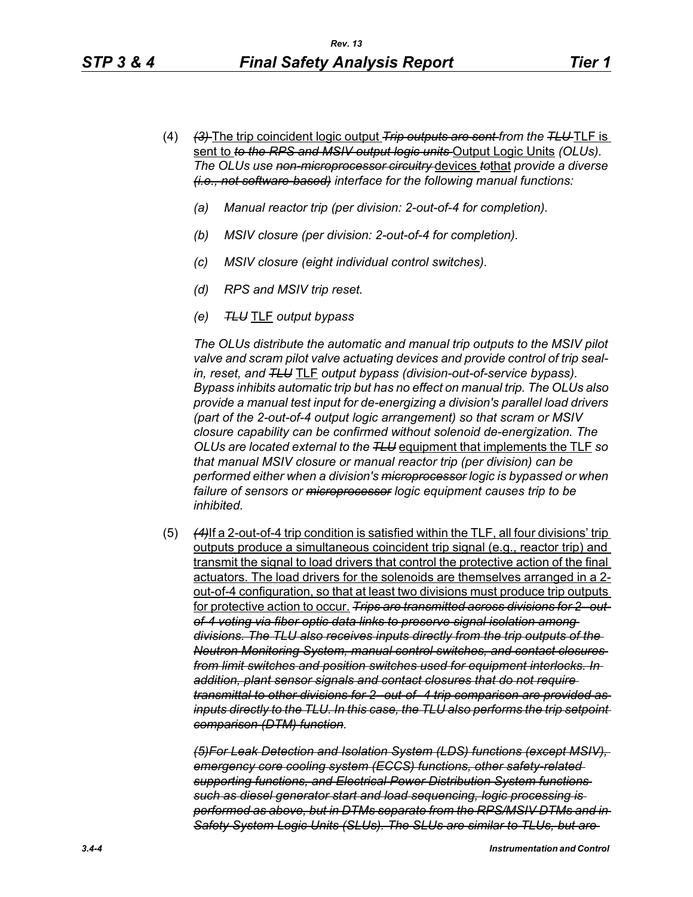- (4) *(3)* The trip coincident logic output *Trip outputs are sent from the TLU* TLF is sent to *to the RPS and MSIV output logic units* Output Logic Units *(OLUs). The OLUs use non-microprocessor circuitry* devices *to*that *provide a diverse (i.e., not software-based) interface for the following manual functions:*
	- *(a) Manual reactor trip (per division: 2-out-of-4 for completion).*
	- *(b) MSIV closure (per division: 2-out-of-4 for completion).*
	- *(c) MSIV closure (eight individual control switches).*
	- *(d) RPS and MSIV trip reset.*
	- *(e) TLU* TLF *output bypass*

*The OLUs distribute the automatic and manual trip outputs to the MSIV pilot valve and scram pilot valve actuating devices and provide control of trip sealin, reset, and TLU* TLF *output bypass (division-out-of-service bypass). Bypass inhibits automatic trip but has no effect on manual trip. The OLUs also provide a manual test input for de-energizing a division's parallel load drivers (part of the 2-out-of-4 output logic arrangement) so that scram or MSIV closure capability can be confirmed without solenoid de-energization. The OLUs are located external to the TLU* equipment that implements the TLF *so that manual MSIV closure or manual reactor trip (per division) can be performed either when a division's microprocessor logic is bypassed or when failure of sensors or microprocessor logic equipment causes trip to be inhibited.*

(5) *(4)*If a 2-out-of-4 trip condition is satisfied within the TLF, all four divisions' trip outputs produce a simultaneous coincident trip signal (e.g., reactor trip) and transmit the signal to load drivers that control the protective action of the final actuators. The load drivers for the solenoids are themselves arranged in a 2 out-of-4 configuration, so that at least two divisions must produce trip outputs for protective action to occur. *Trips are transmitted across divisions for 2--outof-4 voting via fiber optic data links to preserve signal isolation among divisions. The TLU also receives inputs directly from the trip outputs of the Neutron Monitoring System, manual control switches, and contact closures from limit switches and position switches used for equipment interlocks. In addition, plant sensor signals and contact closures that do not require transmittal to other divisions for 2--out-of- 4 trip comparison are provided as inputs directly to the TLU. In this case, the TLU also performs the trip setpoint comparison (DTM) function.*

*(5)For Leak Detection and Isolation System (LDS) functions (except MSIV), emergency core cooling system (ECCS) functions, other safety-related supporting functions, and Electrical Power Distribution System functions such as diesel generator start and load sequencing, logic processing is performed as above, but in DTMs separate from the RPS/MSIV DTMs and in Safety System Logic Units (SLUs). The SLUs are similar to TLUs, but are*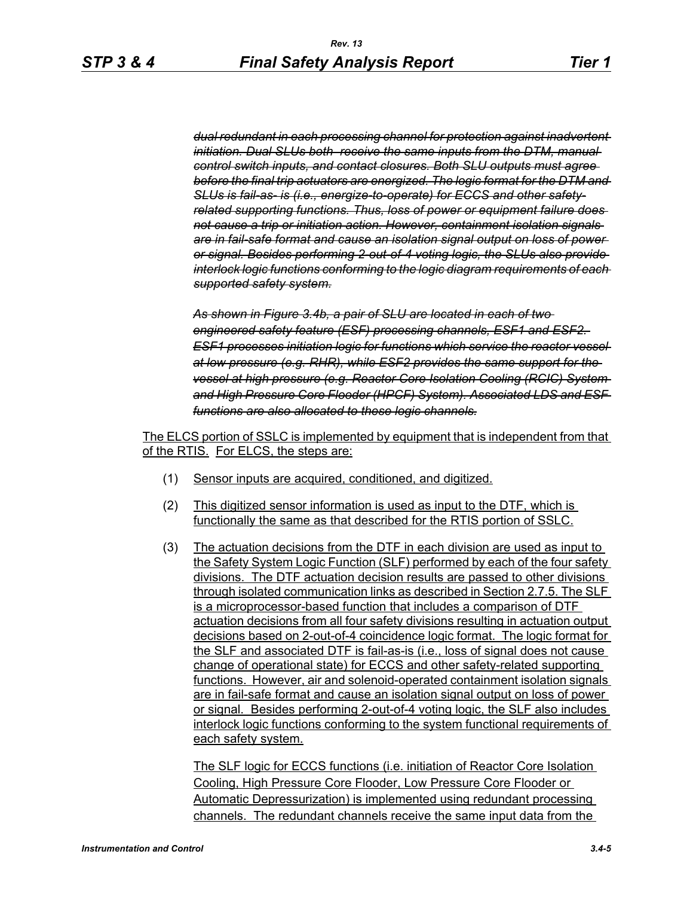*dual redundant in each processing channel for protection against inadvertent initiation. Dual SLUs both receive the same inputs from the DTM, manual control switch inputs, and contact closures. Both SLU outputs must agree before the final trip actuators are energized. The logic format for the DTM and SLUs is fail-as- is (i.e., energize-to-operate) for ECCS and other safetyrelated supporting functions. Thus, loss of power or equipment failure does not cause a trip or initiation action. However, containment isolation signals are in fail-safe format and cause an isolation signal output on loss of power or signal. Besides performing 2-out-of-4 voting logic, the SLUs also provide interlock logic functions conforming to the logic diagram requirements of each supported safety system.*

*As shown in Figure 3.4b, a pair of SLU are located in each of two engineered safety feature (ESF) processing channels, ESF1 and ESF2. ESF1 processes initiation logic for functions which service the reactor vessel at low pressure (e.g. RHR), while ESF2 provides the same support for the vessel at high pressure (e.g. Reactor Core Isolation Cooling (RCIC) System and High Pressure Core Flooder (HPCF) System). Associated LDS and ESF functions are also allocated to these logic channels.*

The ELCS portion of SSLC is implemented by equipment that is independent from that of the RTIS. For ELCS, the steps are:

- (1) Sensor inputs are acquired, conditioned, and digitized.
- (2) This digitized sensor information is used as input to the DTF, which is functionally the same as that described for the RTIS portion of SSLC.
- (3) The actuation decisions from the DTF in each division are used as input to the Safety System Logic Function (SLF) performed by each of the four safety divisions. The DTF actuation decision results are passed to other divisions through isolated communication links as described in Section 2.7.5. The SLF is a microprocessor-based function that includes a comparison of DTF actuation decisions from all four safety divisions resulting in actuation output decisions based on 2-out-of-4 coincidence logic format. The logic format for the SLF and associated DTF is fail-as-is (i.e., loss of signal does not cause change of operational state) for ECCS and other safety-related supporting functions. However, air and solenoid-operated containment isolation signals are in fail-safe format and cause an isolation signal output on loss of power or signal. Besides performing 2-out-of-4 voting logic, the SLF also includes interlock logic functions conforming to the system functional requirements of each safety system.

The SLF logic for ECCS functions (i.e. initiation of Reactor Core Isolation Cooling, High Pressure Core Flooder, Low Pressure Core Flooder or Automatic Depressurization) is implemented using redundant processing channels. The redundant channels receive the same input data from the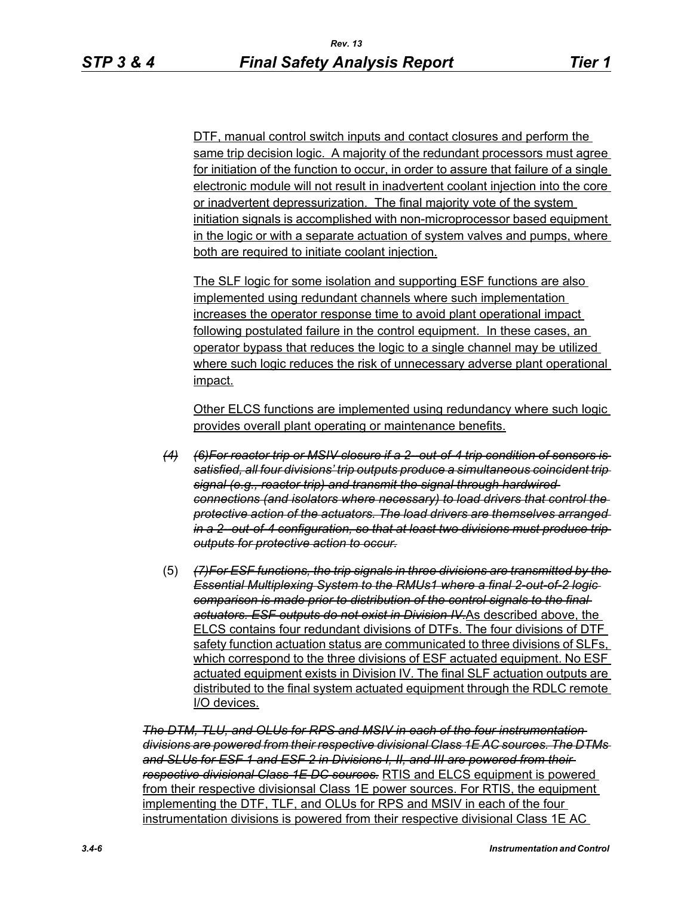DTF, manual control switch inputs and contact closures and perform the same trip decision logic. A majority of the redundant processors must agree for initiation of the function to occur, in order to assure that failure of a single electronic module will not result in inadvertent coolant injection into the core or inadvertent depressurization. The final majority vote of the system initiation signals is accomplished with non-microprocessor based equipment in the logic or with a separate actuation of system valves and pumps, where both are required to initiate coolant injection.

The SLF logic for some isolation and supporting ESF functions are also implemented using redundant channels where such implementation increases the operator response time to avoid plant operational impact following postulated failure in the control equipment. In these cases, an operator bypass that reduces the logic to a single channel may be utilized where such logic reduces the risk of unnecessary adverse plant operational impact.

Other ELCS functions are implemented using redundancy where such logic provides overall plant operating or maintenance benefits.

- *(4) (6)For reactor trip or MSIV closure if a 2--out-of-4 trip condition of sensors is satisfied, all four divisions' trip outputs produce a simultaneous coincident trip signal (e.g., reactor trip) and transmit the signal through hardwired connections (and isolators where necessary) to load drivers that control the protective action of the actuators. The load drivers are themselves arranged in a 2--out-of-4 configuration, so that at least two divisions must produce trip outputs for protective action to occur.*
- (5) *(7)For ESF functions, the trip signals in three divisions are transmitted by the Essential Multiplexing System to the RMUs1 where a final 2-out-of-2 logic comparison is made prior to distribution of the control signals to the final actuators. ESF outputs do not exist in Division IV.*As described above, the ELCS contains four redundant divisions of DTFs. The four divisions of DTF safety function actuation status are communicated to three divisions of SLFs, which correspond to the three divisions of ESF actuated equipment. No ESF actuated equipment exists in Division IV. The final SLF actuation outputs are distributed to the final system actuated equipment through the RDLC remote I/O devices.

*The DTM, TLU, and OLUs for RPS and MSIV in each of the four instrumentation divisions are powered from their respective divisional Class 1E AC sources. The DTMs and SLUs for ESF 1 and ESF 2 in Divisions I, II, and III are powered from their respective divisional Class 1E DC sources.* RTIS and ELCS equipment is powered from their respective divisionsal Class 1E power sources. For RTIS, the equipment implementing the DTF, TLF, and OLUs for RPS and MSIV in each of the four instrumentation divisions is powered from their respective divisional Class 1E AC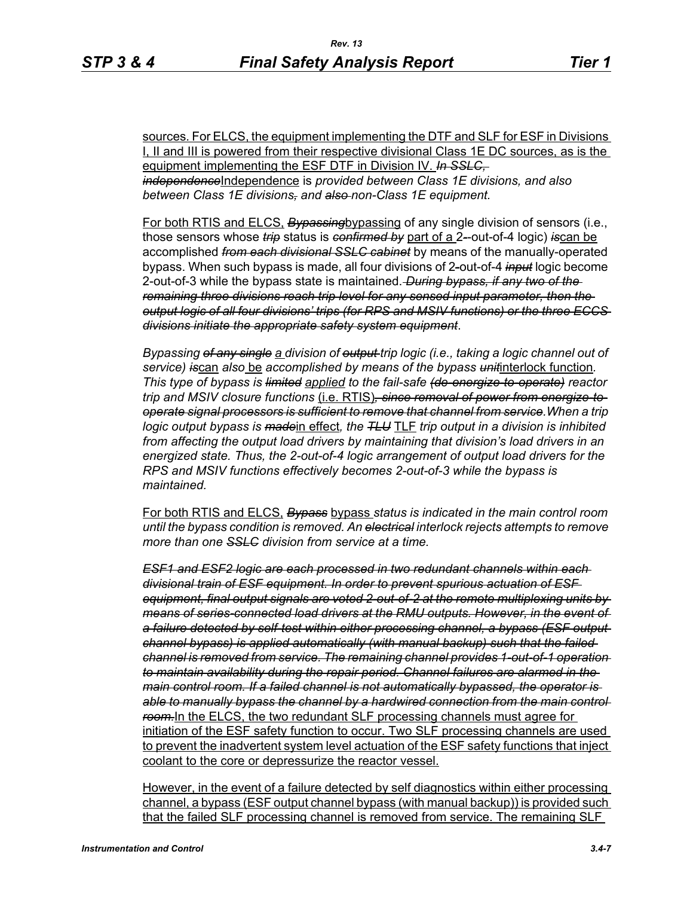sources. For ELCS, the equipment implementing the DTF and SLF for ESF in Divisions I, II and III is powered from their respective divisional Class 1E DC sources, as is the equipment implementing the ESF DTF in Division IV. *In SSLC, independence*Independence is *provided between Class 1E divisions, and also between Class 1E divisions, and also non-Class 1E equipment.*

For both RTIS and ELCS, *Bypassing*bypassing of any single division of sensors (i.e., those sensors whose *trip* status is *confirmed by* part of a 2*-*-out-of-4 logic) *is*can be accomplished *from each divisional SSLC cabinet* by means of the manually-operated bypass. When such bypass is made, all four divisions of 2*-*out-of-4 *input* logic become 2-out-of-3 while the bypass state is maintained. *During bypass, if any two of the remaining three divisions reach trip level for any sensed input parameter, then the output logic of all four divisions' trips (for RPS and MSIV functions) or the three ECCS divisions initiate the appropriate safety system equipment*.

*Bypassing of any single a division of output trip logic (i.e., taking a logic channel out of service) is*can *also* be *accomplished by means of the bypass unit*interlock function*. This type of bypass is limited applied to the fail-safe (de-energize-to-operate) reactor trip and MSIV closure functions* (i.e. RTIS)*, since removal of power from energize-tooperate signal processors is sufficient to remove that channel from service.When a trip logic output bypass is made*in effect*, the TLU* TLF *trip output in a division is inhibited from affecting the output load drivers by maintaining that division's load drivers in an energized state. Thus, the 2-out-of-4 logic arrangement of output load drivers for the RPS and MSIV functions effectively becomes 2-out-of-3 while the bypass is maintained.*

For both RTIS and ELCS, *Bypass* bypass *status is indicated in the main control room until the bypass condition is removed. An electrical interlock rejects attempts to remove more than one SSLC division from service at a time.*

*ESF1 and ESF2 logic are each processed in two redundant channels within each divisional train of ESF equipment. In order to prevent spurious actuation of ESF equipment, final output signals are voted 2-out-of-2 at the remote multiplexing units by means of series-connected load drivers at the RMU outputs. However, in the event of a failure detected by self-test within either processing channel, a bypass (ESF output channel bypass) is applied automatically (with manual backup) such that the failed channel is removed from service. The remaining channel provides 1-out-of-1 operation to maintain availability during the repair period. Channel failures are alarmed in the main control room. If a failed channel is not automatically bypassed, the operator is able to manually bypass the channel by a hardwired connection from the main control room.*In the ELCS, the two redundant SLF processing channels must agree for initiation of the ESF safety function to occur. Two SLF processing channels are used to prevent the inadvertent system level actuation of the ESF safety functions that inject coolant to the core or depressurize the reactor vessel.

However, in the event of a failure detected by self diagnostics within either processing channel, a bypass (ESF output channel bypass (with manual backup)) is provided such that the failed SLF processing channel is removed from service. The remaining SLF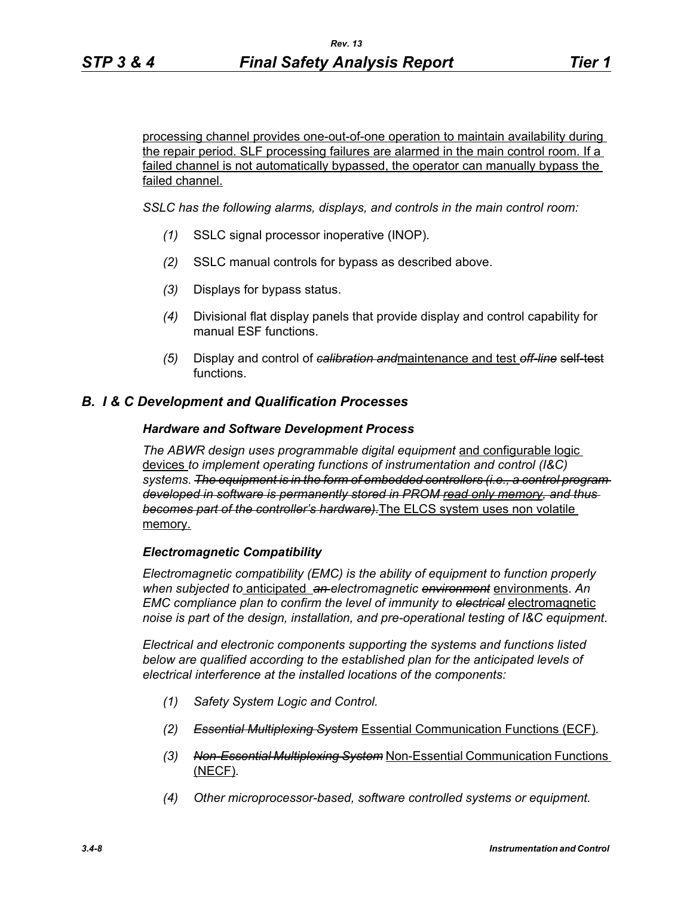processing channel provides one-out-of-one operation to maintain availability during the repair period. SLF processing failures are alarmed in the main control room. If a failed channel is not automatically bypassed, the operator can manually bypass the failed channel.

*SSLC has the following alarms, displays, and controls in the main control room:*

- *(1)* SSLC signal processor inoperative (INOP).
- *(2)* SSLC manual controls for bypass as described above.
- *(3)* Displays for bypass status.
- *(4)* Divisional flat display panels that provide display and control capability for manual ESF functions.
- *(5)* Display and control of *calibration and*maintenance and test *off-line* self-test functions.

## *B. I & C Development and Qualification Processes*

### *Hardware and Software Development Process*

*The ABWR design uses programmable digital equipment* and configurable logic devices *to implement operating functions of instrumentation and control (I&C) systems. The equipment is in the form of embedded controllers (i.e., a control program developed in software is permanently stored in PROM read only memory, and thus becomes part of the controller's hardware).*The ELCS system uses non volatile memory.

### *Electromagnetic Compatibility*

*Electromagnetic compatibility (EMC) is the ability of equipment to function properly when subjected to* anticipated *an electromagnetic environment* environments. *An EMC compliance plan to confirm the level of immunity to electrical* electromagnetic *noise is part of the design, installation, and pre-operational testing of I&C equipment*.

*Electrical and electronic components supporting the systems and functions listed below are qualified according to the established plan for the anticipated levels of electrical interference at the installed locations of the components:*

- *(1) Safety System Logic and Control.*
- *(2) Essential Multiplexing System* Essential Communication Functions (ECF)*.*
- *(3) Non-Essential Multiplexing System* Non-Essential Communication Functions (NECF)*.*
- *(4) Other microprocessor-based, software controlled systems or equipment.*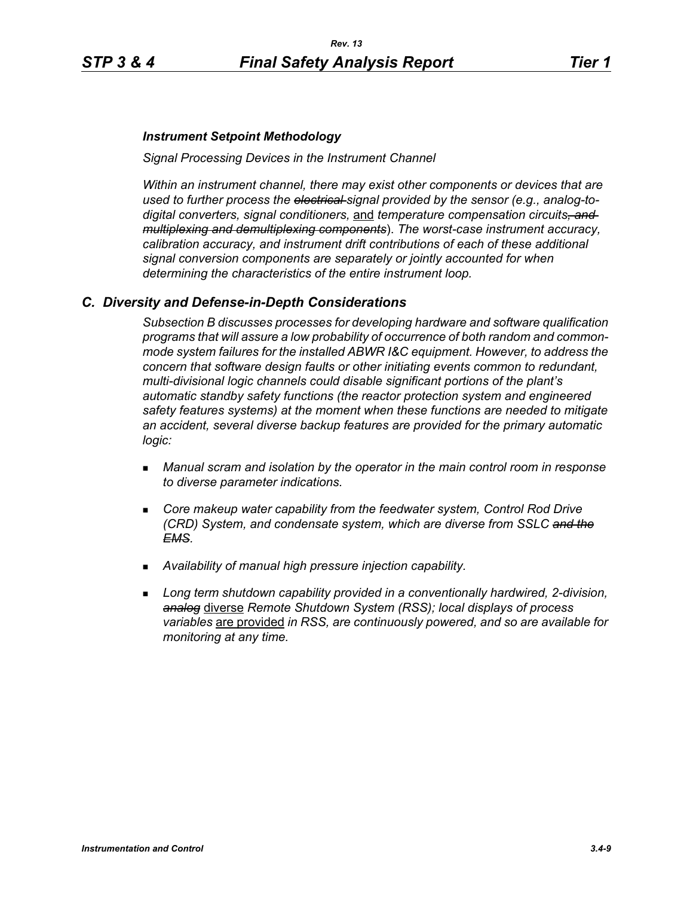## *Instrument Setpoint Methodology*

*Signal Processing Devices in the Instrument Channel*

*Within an instrument channel, there may exist other components or devices that are used to further process the electrical signal provided by the sensor (e.g., analog-todigital converters, signal conditioners,* and *temperature compensation circuits, and multiplexing and demultiplexing components*). *The worst-case instrument accuracy, calibration accuracy, and instrument drift contributions of each of these additional signal conversion components are separately or jointly accounted for when determining the characteristics of the entire instrument loop.*

# *C. Diversity and Defense-in-Depth Considerations*

*Subsection B discusses processes for developing hardware and software qualification programs that will assure a low probability of occurrence of both random and commonmode system failures for the installed ABWR I&C equipment. However, to address the concern that software design faults or other initiating events common to redundant, multi-divisional logic channels could disable significant portions of the plant's automatic standby safety functions (the reactor protection system and engineered safety features systems) at the moment when these functions are needed to mitigate an accident, several diverse backup features are provided for the primary automatic logic:*

- *Manual scram and isolation by the operator in the main control room in response to diverse parameter indications.*
- **Core makeup water capability from the feedwater system, Control Rod Drive** *(CRD) System, and condensate system, which are diverse from SSLC and the EMS.*
- *Availability of manual high pressure injection capability.*
- *Long term shutdown capability provided in a conventionally hardwired, 2-division, analog* diverse *Remote Shutdown System (RSS); local displays of process variables* are provided *in RSS, are continuously powered, and so are available for monitoring at any time.*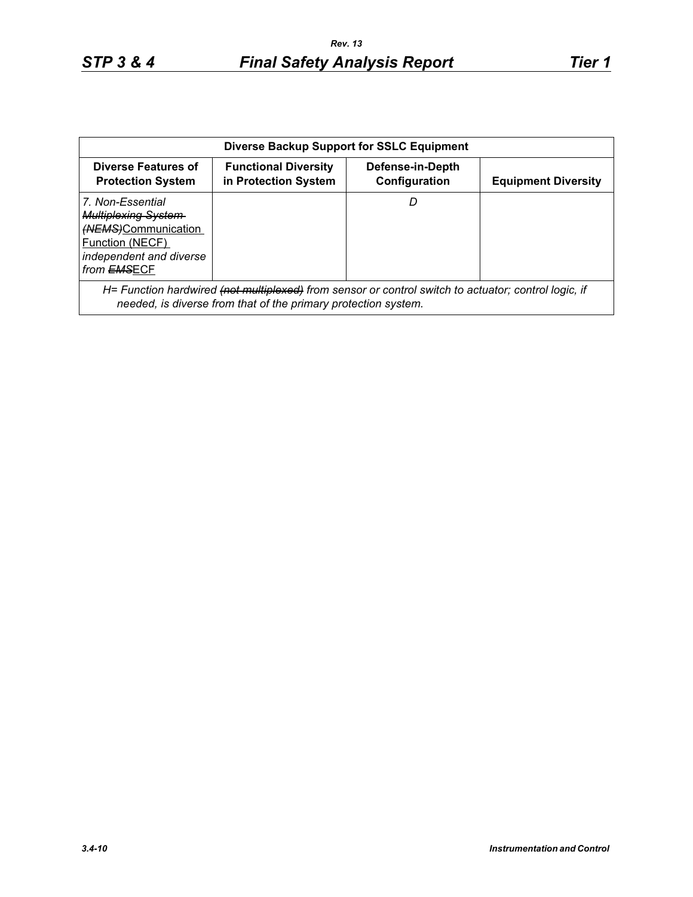| <b>Diverse Backup Support for SSLC Equipment</b>                                                                                          |                                                                                                                                                                                   |                                   |                            |  |
|-------------------------------------------------------------------------------------------------------------------------------------------|-----------------------------------------------------------------------------------------------------------------------------------------------------------------------------------|-----------------------------------|----------------------------|--|
| Diverse Features of<br><b>Protection System</b>                                                                                           | <b>Functional Diversity</b><br>in Protection System                                                                                                                               | Defense-in-Depth<br>Configuration | <b>Equipment Diversity</b> |  |
| 7. Non-Essential<br><b>Multiplexing System</b><br>(NEMS)Communication<br>Function (NECF)<br>independent and diverse<br>from <b>EMSECF</b> |                                                                                                                                                                                   |                                   |                            |  |
|                                                                                                                                           | H= Function hardwired <del>(not multiplexed)</del> from sensor or control switch to actuator; control logic, if<br>needed, is diverse from that of the primary protection system. |                                   |                            |  |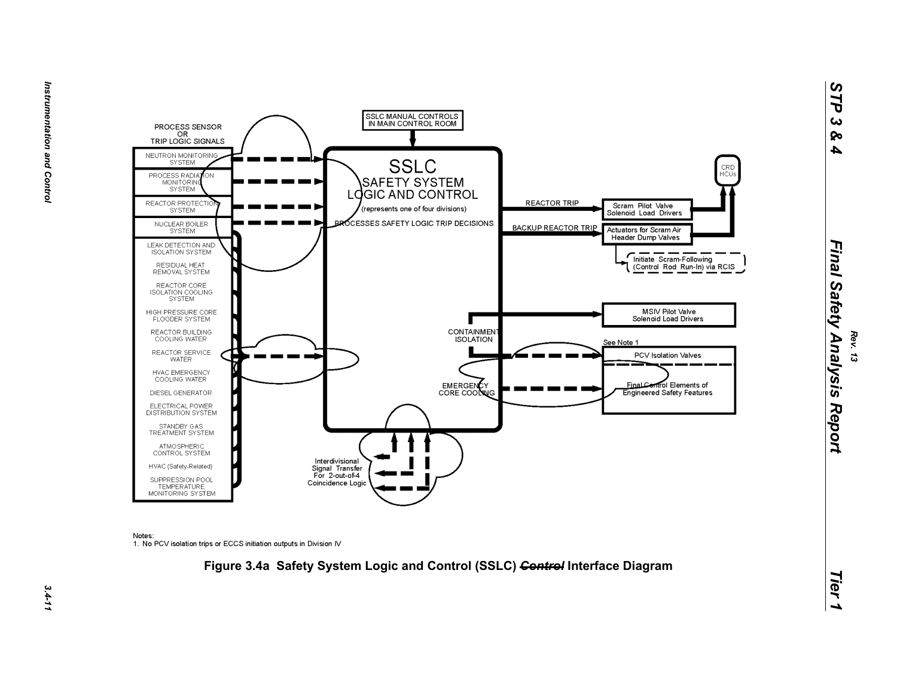

Notes:

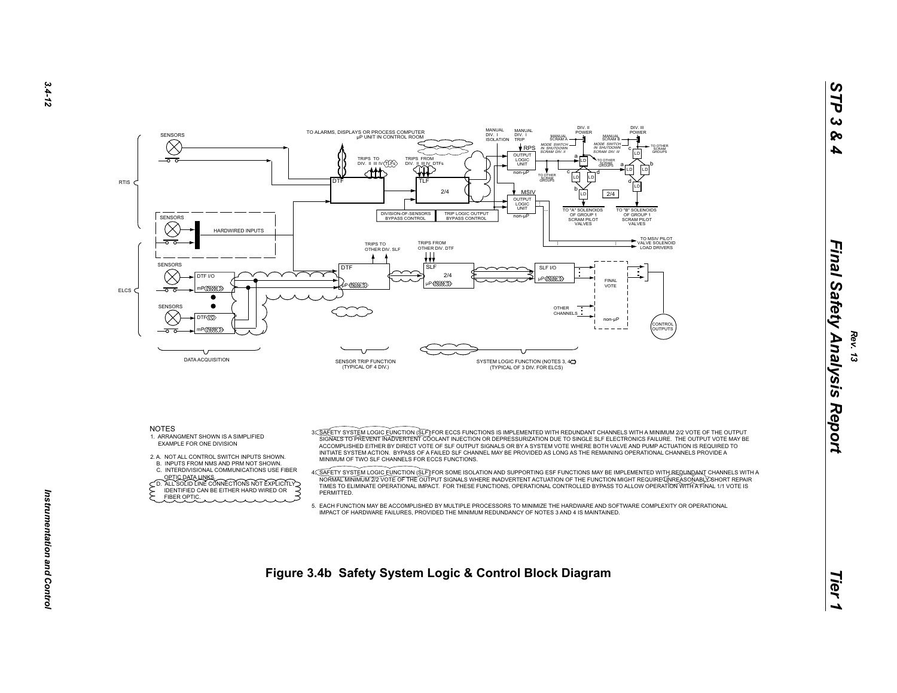

- 
- 
- 
- 
- 

*3.4-12*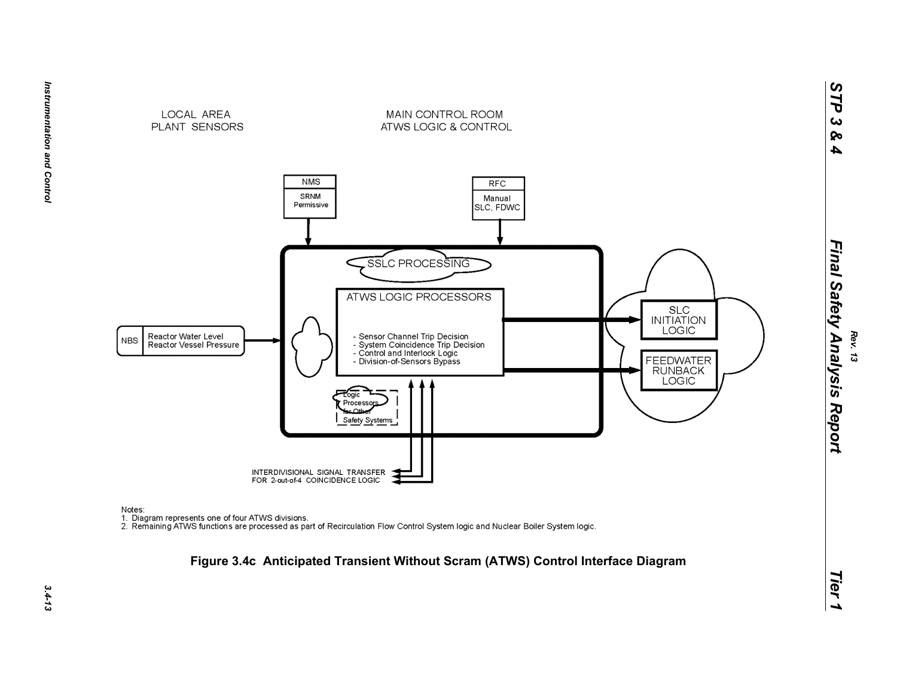

Instrumentation and Control *Instrumentation and Control 3.4-13*

Notes:

 $3.4 - 13$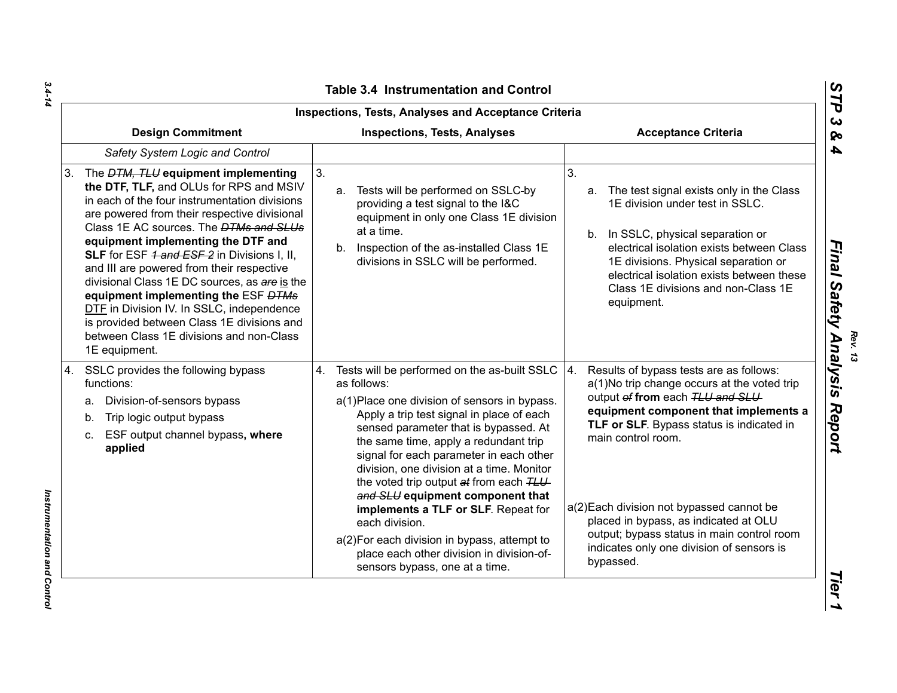| <b>Table 3.4 Instrumentation and Control</b>                                                                                                                                                                                                                                                                                                                                                                                                                                                                                                                                                                                    |                                                                                                                                                                                                                                                                                                                                                                                                                                                                                                                                                                                                              |                                                                                                                                                                                                                                                                                                                                                                                                                                           |  |
|---------------------------------------------------------------------------------------------------------------------------------------------------------------------------------------------------------------------------------------------------------------------------------------------------------------------------------------------------------------------------------------------------------------------------------------------------------------------------------------------------------------------------------------------------------------------------------------------------------------------------------|--------------------------------------------------------------------------------------------------------------------------------------------------------------------------------------------------------------------------------------------------------------------------------------------------------------------------------------------------------------------------------------------------------------------------------------------------------------------------------------------------------------------------------------------------------------------------------------------------------------|-------------------------------------------------------------------------------------------------------------------------------------------------------------------------------------------------------------------------------------------------------------------------------------------------------------------------------------------------------------------------------------------------------------------------------------------|--|
| <b>Inspections, Tests, Analyses and Acceptance Criteria</b>                                                                                                                                                                                                                                                                                                                                                                                                                                                                                                                                                                     |                                                                                                                                                                                                                                                                                                                                                                                                                                                                                                                                                                                                              |                                                                                                                                                                                                                                                                                                                                                                                                                                           |  |
| <b>Design Commitment</b>                                                                                                                                                                                                                                                                                                                                                                                                                                                                                                                                                                                                        | <b>Inspections, Tests, Analyses</b>                                                                                                                                                                                                                                                                                                                                                                                                                                                                                                                                                                          | <b>Acceptance Criteria</b>                                                                                                                                                                                                                                                                                                                                                                                                                |  |
| Safety System Logic and Control                                                                                                                                                                                                                                                                                                                                                                                                                                                                                                                                                                                                 |                                                                                                                                                                                                                                                                                                                                                                                                                                                                                                                                                                                                              |                                                                                                                                                                                                                                                                                                                                                                                                                                           |  |
| The <i>DTM, TLU</i> equipment implementing<br>3.<br>the DTF, TLF, and OLUs for RPS and MSIV<br>in each of the four instrumentation divisions<br>are powered from their respective divisional<br>Class 1E AC sources. The <b>DTMs and SLUs</b><br>equipment implementing the DTF and<br>SLF for ESF 4 and ESF 2 in Divisions I, II,<br>and III are powered from their respective<br>divisional Class 1E DC sources, as are is the<br>equipment implementing the ESF DTMs<br>DTF in Division IV. In SSLC, independence<br>is provided between Class 1E divisions and<br>between Class 1E divisions and non-Class<br>1E equipment. | 3.<br>a. Tests will be performed on SSLC-by<br>providing a test signal to the I&C<br>equipment in only one Class 1E division<br>at a time.<br>b. Inspection of the as-installed Class 1E<br>divisions in SSLC will be performed.                                                                                                                                                                                                                                                                                                                                                                             | 3.<br>a. The test signal exists only in the Class<br>1E division under test in SSLC.<br>b. In SSLC, physical separation or<br>electrical isolation exists between Class<br>1E divisions. Physical separation or<br>electrical isolation exists between these<br>Class 1E divisions and non-Class 1E<br>equipment.                                                                                                                         |  |
| SSLC provides the following bypass<br>4.<br>functions:<br>Division-of-sensors bypass<br>а.<br>Trip logic output bypass<br>b.<br>ESF output channel bypass, where<br>C.<br>applied                                                                                                                                                                                                                                                                                                                                                                                                                                               | 4. Tests will be performed on the as-built SSLC<br>as follows:<br>a(1) Place one division of sensors in bypass.<br>Apply a trip test signal in place of each<br>sensed parameter that is bypassed. At<br>the same time, apply a redundant trip<br>signal for each parameter in each other<br>division, one division at a time. Monitor<br>the voted trip output at from each TLU<br>and SLU equipment component that<br>implements a TLF or SLF. Repeat for<br>each division.<br>a(2) For each division in bypass, attempt to<br>place each other division in division-of-<br>sensors bypass, one at a time. | 4.<br>Results of bypass tests are as follows:<br>a(1)No trip change occurs at the voted trip<br>output of from each TLU and SLU<br>equipment component that implements a<br>TLF or SLF. Bypass status is indicated in<br>main control room.<br>a(2) Each division not bypassed cannot be<br>placed in bypass, as indicated at OLU<br>output; bypass status in main control room<br>indicates only one division of sensors is<br>bypassed. |  |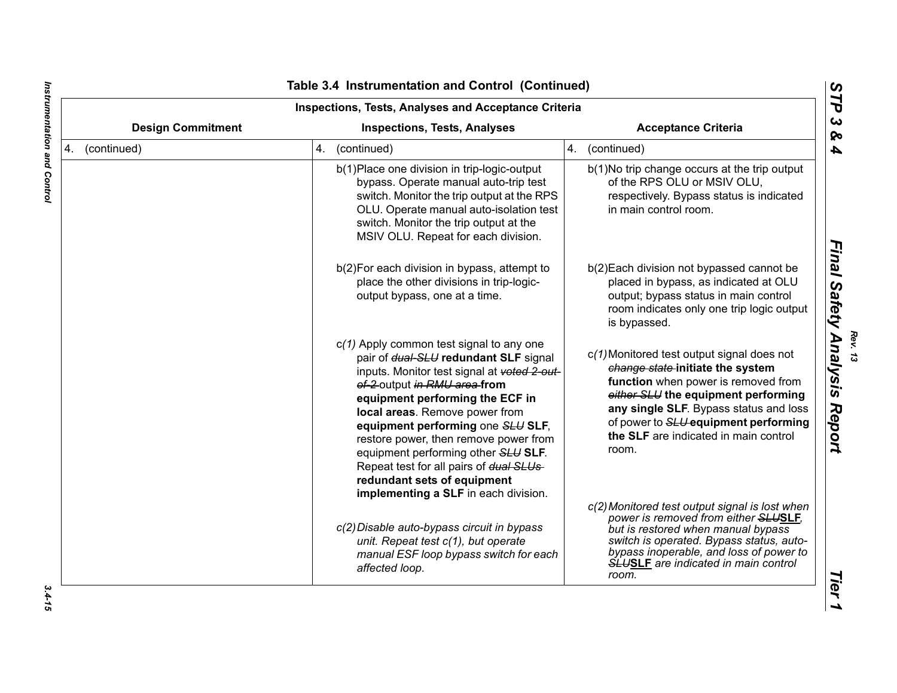| <b>Inspections, Tests, Analyses and Acceptance Criteria</b>     |  |                                                                                                                                                                                                                                                                                                                                                                                                                                                                                |                                                                                                                                                                                                                                                                                                  |
|-----------------------------------------------------------------|--|--------------------------------------------------------------------------------------------------------------------------------------------------------------------------------------------------------------------------------------------------------------------------------------------------------------------------------------------------------------------------------------------------------------------------------------------------------------------------------|--------------------------------------------------------------------------------------------------------------------------------------------------------------------------------------------------------------------------------------------------------------------------------------------------|
| <b>Design Commitment</b><br><b>Inspections, Tests, Analyses</b> |  | <b>Acceptance Criteria</b>                                                                                                                                                                                                                                                                                                                                                                                                                                                     |                                                                                                                                                                                                                                                                                                  |
| 4. (continued)                                                  |  | 4. (continued)                                                                                                                                                                                                                                                                                                                                                                                                                                                                 | 4. (continued)                                                                                                                                                                                                                                                                                   |
|                                                                 |  | b(1) Place one division in trip-logic-output<br>bypass. Operate manual auto-trip test<br>switch. Monitor the trip output at the RPS<br>OLU. Operate manual auto-isolation test<br>switch. Monitor the trip output at the<br>MSIV OLU. Repeat for each division.                                                                                                                                                                                                                | b(1)No trip change occurs at the trip output<br>of the RPS OLU or MSIV OLU,<br>respectively. Bypass status is indicated<br>in main control room.                                                                                                                                                 |
|                                                                 |  | b(2) For each division in bypass, attempt to<br>place the other divisions in trip-logic-<br>output bypass, one at a time.                                                                                                                                                                                                                                                                                                                                                      | b(2) Each division not bypassed cannot be<br>placed in bypass, as indicated at OLU<br>output; bypass status in main control<br>room indicates only one trip logic output<br>is bypassed.                                                                                                         |
|                                                                 |  | $c(1)$ Apply common test signal to any one<br>pair of dual-SLU redundant SLF signal<br>inputs. Monitor test signal at voted 2-out-<br>of-2 output in RMU area from<br>equipment performing the ECF in<br>local areas. Remove power from<br>equipment performing one SLU SLF,<br>restore power, then remove power from<br>equipment performing other SLU SLF.<br>Repeat test for all pairs of dual SLUs-<br>redundant sets of equipment<br>implementing a SLF in each division. | c(1) Monitored test output signal does not<br>change state-initiate the system<br>function when power is removed from<br>either SLU the equipment performing<br>any single SLF. Bypass status and loss<br>of power to SLU-equipment performing<br>the SLF are indicated in main control<br>room. |
|                                                                 |  | c(2) Disable auto-bypass circuit in bypass<br>unit. Repeat test c(1), but operate<br>manual ESF loop bypass switch for each<br>affected loop.                                                                                                                                                                                                                                                                                                                                  | c(2) Monitored test output signal is lost when<br>power is removed from either SLUSLF,<br>but is restored when manual bypass<br>switch is operated. Bypass status, auto-<br>bypass inoperable, and loss of power to<br><b>SLUSLF</b> are indicated in main control<br>room.                      |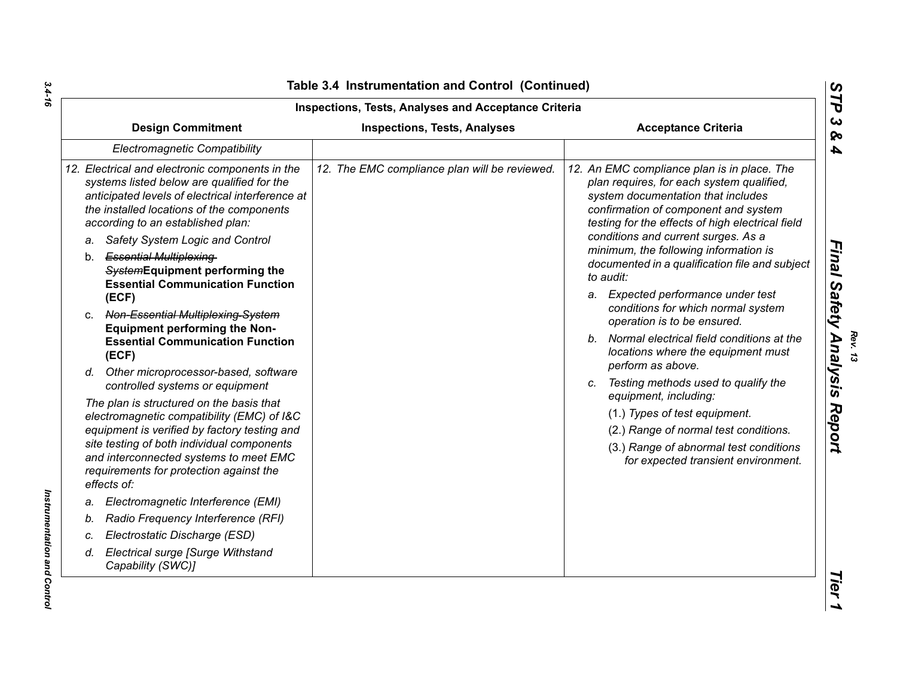| <b>Inspections, Tests, Analyses and Acceptance Criteria</b>                                                                                                                                                                                                                              |                                               |                                                                                                                                                                                                                                                                   |
|------------------------------------------------------------------------------------------------------------------------------------------------------------------------------------------------------------------------------------------------------------------------------------------|-----------------------------------------------|-------------------------------------------------------------------------------------------------------------------------------------------------------------------------------------------------------------------------------------------------------------------|
| <b>Design Commitment</b>                                                                                                                                                                                                                                                                 | <b>Inspections, Tests, Analyses</b>           | <b>Acceptance Criteria</b>                                                                                                                                                                                                                                        |
| Electromagnetic Compatibility                                                                                                                                                                                                                                                            |                                               |                                                                                                                                                                                                                                                                   |
| 12. Electrical and electronic components in the<br>systems listed below are qualified for the<br>anticipated levels of electrical interference at<br>the installed locations of the components<br>according to an established plan:                                                      | 12. The EMC compliance plan will be reviewed. | 12. An EMC compliance plan is in place. The<br>plan requires, for each system qualified,<br>system documentation that includes<br>confirmation of component and system<br>testing for the effects of high electrical field<br>conditions and current surges. As a |
| Safety System Logic and Control<br>a.<br>b. Essential Multiplexing-<br>SystemEquipment performing the<br><b>Essential Communication Function</b>                                                                                                                                         |                                               | minimum, the following information is<br>documented in a qualification file and subject<br>to audit:                                                                                                                                                              |
| (ECF)<br>Non-Essential Multiplexing-System<br>C.<br><b>Equipment performing the Non-</b>                                                                                                                                                                                                 |                                               | a. Expected performance under test<br>conditions for which normal system<br>operation is to be ensured.<br>b. Normal electrical field conditions at the                                                                                                           |
| <b>Essential Communication Function</b><br>(ECF)<br>Other microprocessor-based, software<br>d.                                                                                                                                                                                           |                                               | locations where the equipment must<br>perform as above.                                                                                                                                                                                                           |
| controlled systems or equipment                                                                                                                                                                                                                                                          |                                               | Testing methods used to qualify the<br>C.                                                                                                                                                                                                                         |
| The plan is structured on the basis that<br>electromagnetic compatibility (EMC) of I&C<br>equipment is verified by factory testing and<br>site testing of both individual components<br>and interconnected systems to meet EMC<br>requirements for protection against the<br>effects of: |                                               | equipment, including:<br>(1.) Types of test equipment.<br>(2.) Range of normal test conditions.<br>(3.) Range of abnormal test conditions<br>for expected transient environment.                                                                                  |
| Electromagnetic Interference (EMI)<br>a.                                                                                                                                                                                                                                                 |                                               |                                                                                                                                                                                                                                                                   |
| Radio Frequency Interference (RFI)                                                                                                                                                                                                                                                       |                                               |                                                                                                                                                                                                                                                                   |
| Electrostatic Discharge (ESD)                                                                                                                                                                                                                                                            |                                               |                                                                                                                                                                                                                                                                   |
| Electrical surge [Surge Withstand<br>d.<br>Capability (SWC)]                                                                                                                                                                                                                             |                                               |                                                                                                                                                                                                                                                                   |